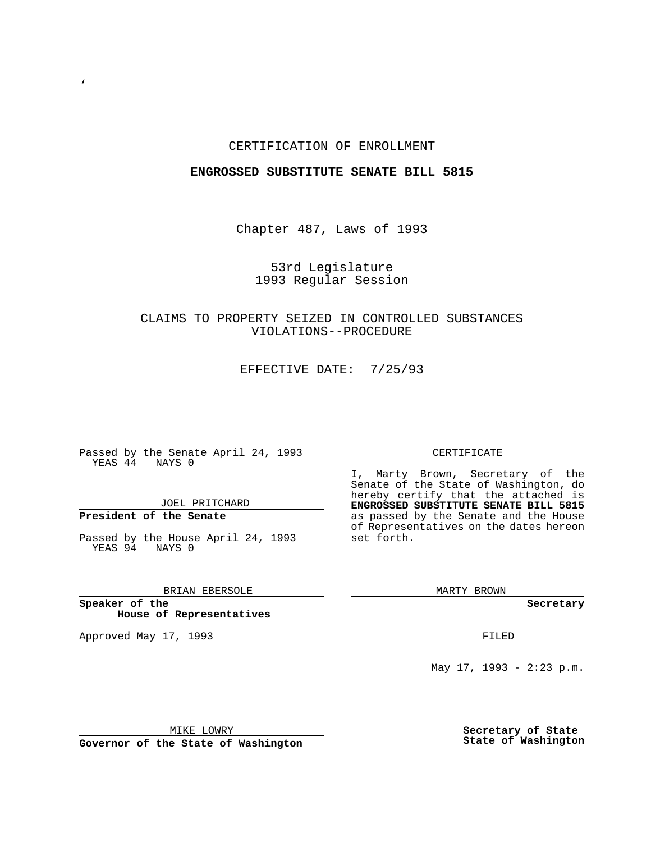### CERTIFICATION OF ENROLLMENT

### **ENGROSSED SUBSTITUTE SENATE BILL 5815**

Chapter 487, Laws of 1993

53rd Legislature 1993 Regular Session

# CLAIMS TO PROPERTY SEIZED IN CONTROLLED SUBSTANCES VIOLATIONS--PROCEDURE

EFFECTIVE DATE: 7/25/93

Passed by the Senate April 24, 1993 YEAS 44 NAYS 0

JOEL PRITCHARD

# **President of the Senate**

 $\mathbf{v}$ 

Passed by the House April 24, 1993 YEAS 94 NAYS 0

## BRIAN EBERSOLE

**Speaker of the House of Representatives**

Approved May 17, 1993 **FILED** 

#### CERTIFICATE

I, Marty Brown, Secretary of the Senate of the State of Washington, do hereby certify that the attached is **ENGROSSED SUBSTITUTE SENATE BILL 5815** as passed by the Senate and the House of Representatives on the dates hereon set forth.

MARTY BROWN

**Secretary**

May 17, 1993 - 2:23 p.m.

MIKE LOWRY

**Governor of the State of Washington**

**Secretary of State State of Washington**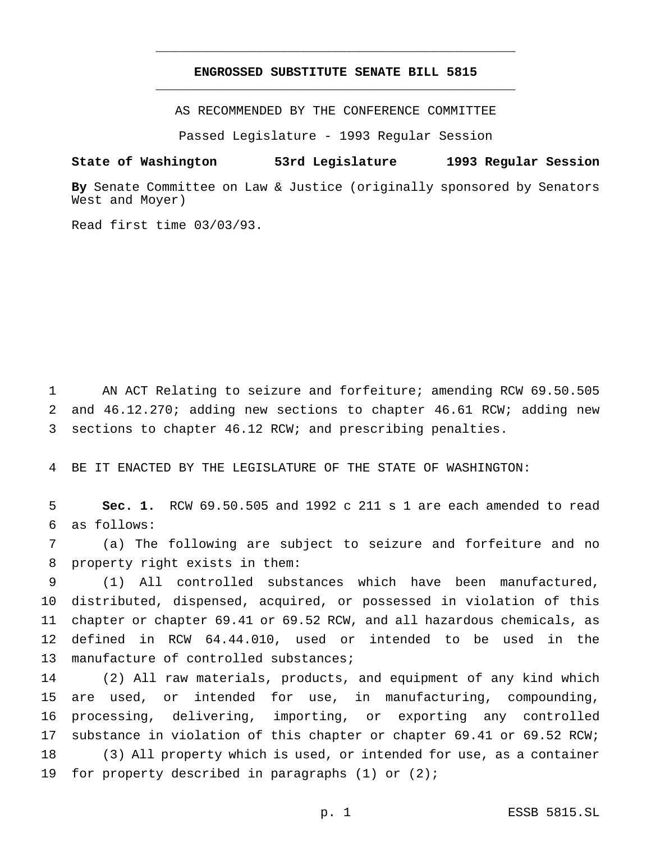## **ENGROSSED SUBSTITUTE SENATE BILL 5815** \_\_\_\_\_\_\_\_\_\_\_\_\_\_\_\_\_\_\_\_\_\_\_\_\_\_\_\_\_\_\_\_\_\_\_\_\_\_\_\_\_\_\_\_\_\_\_

\_\_\_\_\_\_\_\_\_\_\_\_\_\_\_\_\_\_\_\_\_\_\_\_\_\_\_\_\_\_\_\_\_\_\_\_\_\_\_\_\_\_\_\_\_\_\_

AS RECOMMENDED BY THE CONFERENCE COMMITTEE

Passed Legislature - 1993 Regular Session

#### **State of Washington 53rd Legislature 1993 Regular Session**

**By** Senate Committee on Law & Justice (originally sponsored by Senators West and Moyer)

Read first time 03/03/93.

 AN ACT Relating to seizure and forfeiture; amending RCW 69.50.505 and 46.12.270; adding new sections to chapter 46.61 RCW; adding new sections to chapter 46.12 RCW; and prescribing penalties.

BE IT ENACTED BY THE LEGISLATURE OF THE STATE OF WASHINGTON:

 **Sec. 1.** RCW 69.50.505 and 1992 c 211 s 1 are each amended to read as follows:

 (a) The following are subject to seizure and forfeiture and no property right exists in them:

 (1) All controlled substances which have been manufactured, distributed, dispensed, acquired, or possessed in violation of this chapter or chapter 69.41 or 69.52 RCW, and all hazardous chemicals, as defined in RCW 64.44.010, used or intended to be used in the 13 manufacture of controlled substances;

 (2) All raw materials, products, and equipment of any kind which are used, or intended for use, in manufacturing, compounding, processing, delivering, importing, or exporting any controlled substance in violation of this chapter or chapter 69.41 or 69.52 RCW; (3) All property which is used, or intended for use, as a container for property described in paragraphs (1) or (2);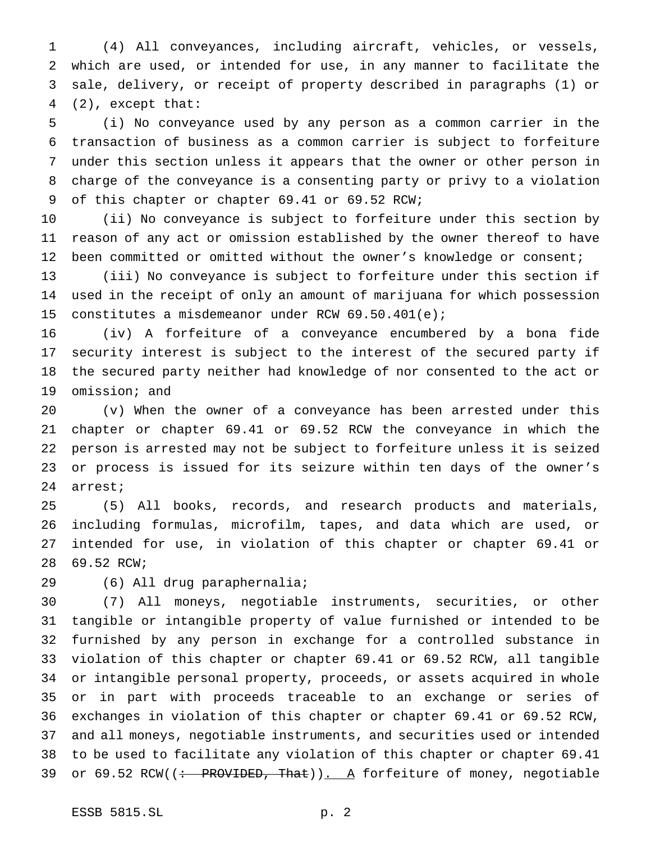(4) All conveyances, including aircraft, vehicles, or vessels, which are used, or intended for use, in any manner to facilitate the sale, delivery, or receipt of property described in paragraphs (1) or (2), except that:

 (i) No conveyance used by any person as a common carrier in the transaction of business as a common carrier is subject to forfeiture under this section unless it appears that the owner or other person in charge of the conveyance is a consenting party or privy to a violation of this chapter or chapter 69.41 or 69.52 RCW;

 (ii) No conveyance is subject to forfeiture under this section by reason of any act or omission established by the owner thereof to have been committed or omitted without the owner's knowledge or consent;

 (iii) No conveyance is subject to forfeiture under this section if used in the receipt of only an amount of marijuana for which possession constitutes a misdemeanor under RCW 69.50.401(e);

 (iv) A forfeiture of a conveyance encumbered by a bona fide security interest is subject to the interest of the secured party if the secured party neither had knowledge of nor consented to the act or omission; and

 (v) When the owner of a conveyance has been arrested under this chapter or chapter 69.41 or 69.52 RCW the conveyance in which the person is arrested may not be subject to forfeiture unless it is seized or process is issued for its seizure within ten days of the owner's arrest;

 (5) All books, records, and research products and materials, including formulas, microfilm, tapes, and data which are used, or intended for use, in violation of this chapter or chapter 69.41 or 69.52 RCW;

(6) All drug paraphernalia;

 (7) All moneys, negotiable instruments, securities, or other tangible or intangible property of value furnished or intended to be furnished by any person in exchange for a controlled substance in violation of this chapter or chapter 69.41 or 69.52 RCW, all tangible or intangible personal property, proceeds, or assets acquired in whole or in part with proceeds traceable to an exchange or series of exchanges in violation of this chapter or chapter 69.41 or 69.52 RCW, and all moneys, negotiable instruments, and securities used or intended to be used to facilitate any violation of this chapter or chapter 69.41 39 or 69.52 RCW((: PROVIDED, That)). A forfeiture of money, negotiable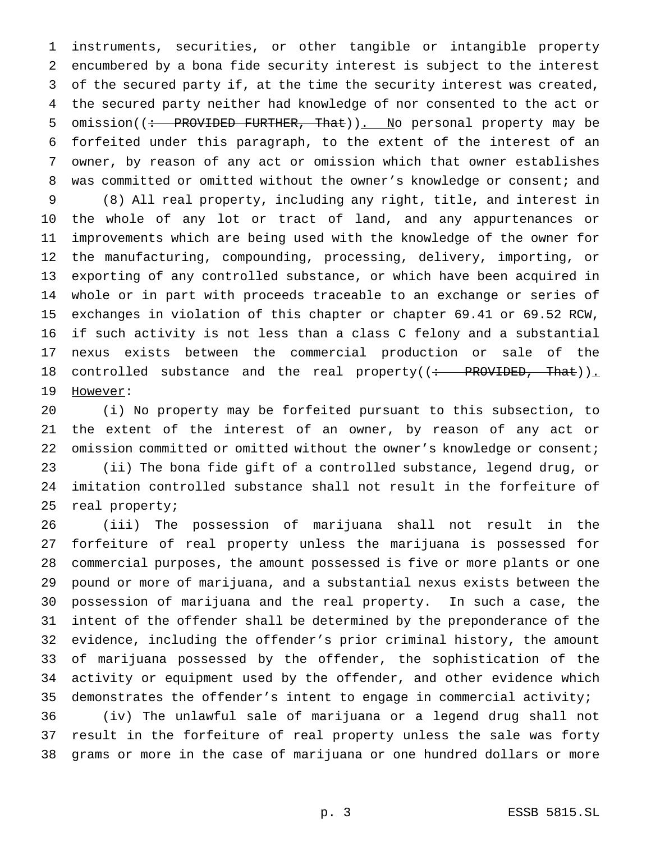instruments, securities, or other tangible or intangible property encumbered by a bona fide security interest is subject to the interest of the secured party if, at the time the security interest was created, the secured party neither had knowledge of nor consented to the act or 5 omission((: PROVIDED FURTHER, That)). No personal property may be forfeited under this paragraph, to the extent of the interest of an owner, by reason of any act or omission which that owner establishes 8 was committed or omitted without the owner's knowledge or consent; and

 (8) All real property, including any right, title, and interest in the whole of any lot or tract of land, and any appurtenances or improvements which are being used with the knowledge of the owner for the manufacturing, compounding, processing, delivery, importing, or exporting of any controlled substance, or which have been acquired in whole or in part with proceeds traceable to an exchange or series of exchanges in violation of this chapter or chapter 69.41 or 69.52 RCW, if such activity is not less than a class C felony and a substantial nexus exists between the commercial production or sale of the 18 controlled substance and the real property((: PROVIDED, That)). 19 However:

 (i) No property may be forfeited pursuant to this subsection, to the extent of the interest of an owner, by reason of any act or omission committed or omitted without the owner's knowledge or consent; (ii) The bona fide gift of a controlled substance, legend drug, or imitation controlled substance shall not result in the forfeiture of real property;

 (iii) The possession of marijuana shall not result in the forfeiture of real property unless the marijuana is possessed for commercial purposes, the amount possessed is five or more plants or one pound or more of marijuana, and a substantial nexus exists between the possession of marijuana and the real property. In such a case, the intent of the offender shall be determined by the preponderance of the evidence, including the offender's prior criminal history, the amount of marijuana possessed by the offender, the sophistication of the activity or equipment used by the offender, and other evidence which demonstrates the offender's intent to engage in commercial activity;

 (iv) The unlawful sale of marijuana or a legend drug shall not result in the forfeiture of real property unless the sale was forty grams or more in the case of marijuana or one hundred dollars or more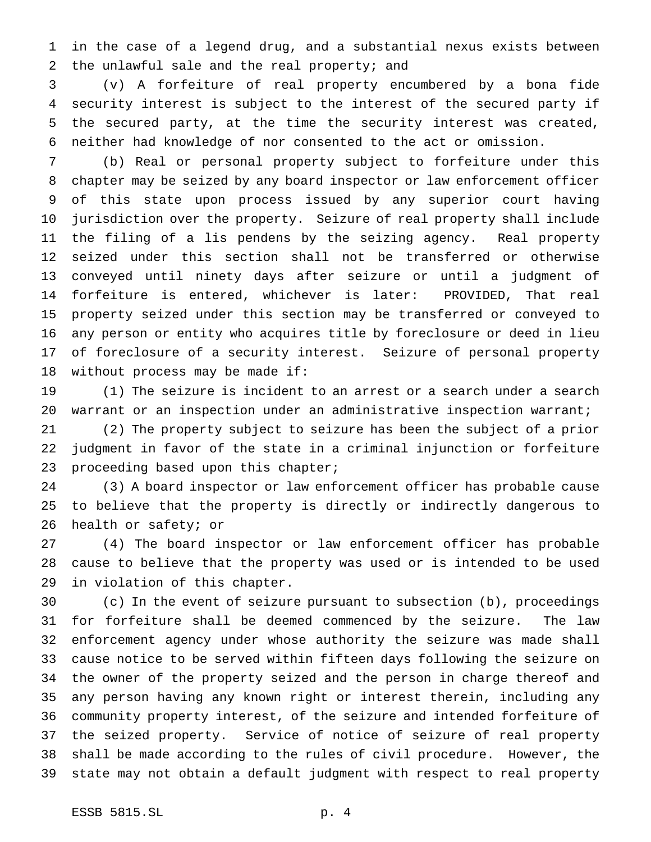in the case of a legend drug, and a substantial nexus exists between the unlawful sale and the real property; and

 (v) A forfeiture of real property encumbered by a bona fide security interest is subject to the interest of the secured party if the secured party, at the time the security interest was created, neither had knowledge of nor consented to the act or omission.

 (b) Real or personal property subject to forfeiture under this chapter may be seized by any board inspector or law enforcement officer of this state upon process issued by any superior court having jurisdiction over the property. Seizure of real property shall include the filing of a lis pendens by the seizing agency. Real property seized under this section shall not be transferred or otherwise conveyed until ninety days after seizure or until a judgment of forfeiture is entered, whichever is later: PROVIDED, That real property seized under this section may be transferred or conveyed to any person or entity who acquires title by foreclosure or deed in lieu of foreclosure of a security interest. Seizure of personal property without process may be made if:

 (1) The seizure is incident to an arrest or a search under a search warrant or an inspection under an administrative inspection warrant;

 (2) The property subject to seizure has been the subject of a prior judgment in favor of the state in a criminal injunction or forfeiture proceeding based upon this chapter;

 (3) A board inspector or law enforcement officer has probable cause to believe that the property is directly or indirectly dangerous to health or safety; or

 (4) The board inspector or law enforcement officer has probable cause to believe that the property was used or is intended to be used in violation of this chapter.

 (c) In the event of seizure pursuant to subsection (b), proceedings for forfeiture shall be deemed commenced by the seizure. The law enforcement agency under whose authority the seizure was made shall cause notice to be served within fifteen days following the seizure on the owner of the property seized and the person in charge thereof and any person having any known right or interest therein, including any community property interest, of the seizure and intended forfeiture of the seized property. Service of notice of seizure of real property shall be made according to the rules of civil procedure. However, the state may not obtain a default judgment with respect to real property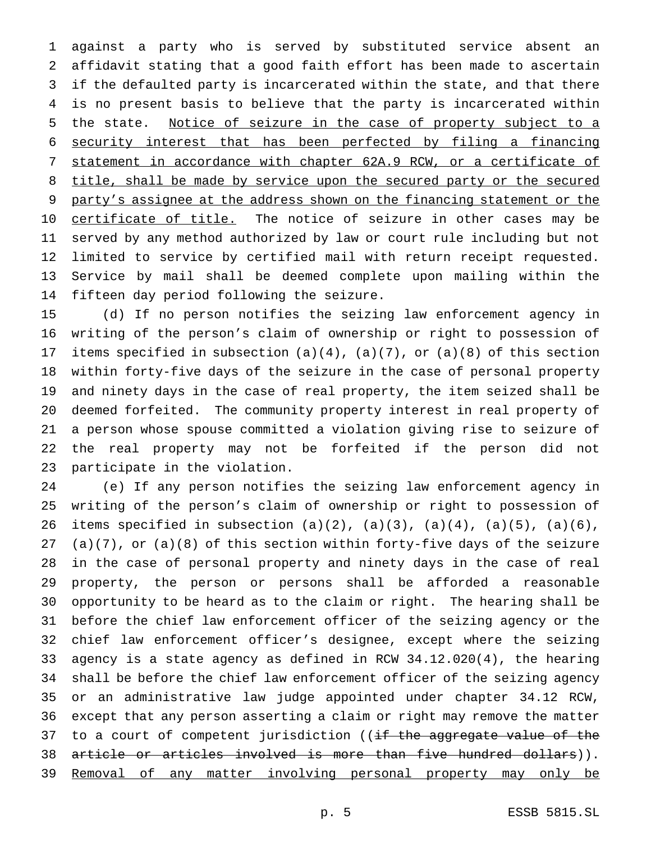against a party who is served by substituted service absent an affidavit stating that a good faith effort has been made to ascertain if the defaulted party is incarcerated within the state, and that there is no present basis to believe that the party is incarcerated within 5 the state. Notice of seizure in the case of property subject to a security interest that has been perfected by filing a financing statement in accordance with chapter 62A.9 RCW, or a certificate of 8 title, shall be made by service upon the secured party or the secured 9 party's assignee at the address shown on the financing statement or the 10 certificate of title. The notice of seizure in other cases may be served by any method authorized by law or court rule including but not limited to service by certified mail with return receipt requested. Service by mail shall be deemed complete upon mailing within the fifteen day period following the seizure.

 (d) If no person notifies the seizing law enforcement agency in writing of the person's claim of ownership or right to possession of 17 items specified in subsection  $(a)(4)$ ,  $(a)(7)$ , or  $(a)(8)$  of this section within forty-five days of the seizure in the case of personal property and ninety days in the case of real property, the item seized shall be deemed forfeited. The community property interest in real property of a person whose spouse committed a violation giving rise to seizure of the real property may not be forfeited if the person did not participate in the violation.

 (e) If any person notifies the seizing law enforcement agency in writing of the person's claim of ownership or right to possession of 26 items specified in subsection  $(a)(2)$ ,  $(a)(3)$ ,  $(a)(4)$ ,  $(a)(5)$ ,  $(a)(6)$ , 27 (a)(7), or (a)(8) of this section within forty-five days of the seizure in the case of personal property and ninety days in the case of real property, the person or persons shall be afforded a reasonable opportunity to be heard as to the claim or right. The hearing shall be before the chief law enforcement officer of the seizing agency or the chief law enforcement officer's designee, except where the seizing agency is a state agency as defined in RCW 34.12.020(4), the hearing shall be before the chief law enforcement officer of the seizing agency or an administrative law judge appointed under chapter 34.12 RCW, except that any person asserting a claim or right may remove the matter 37 to a court of competent jurisdiction ((if the aggregate value of the article or articles involved is more than five hundred dollars)). 39 Removal of any matter involving personal property may only be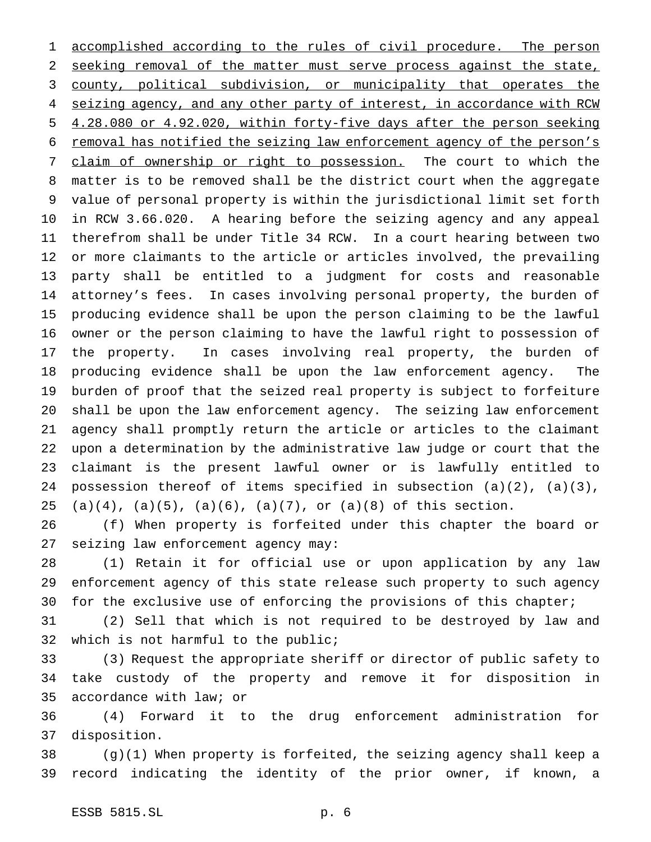accomplished according to the rules of civil procedure. The person 2 seeking removal of the matter must serve process against the state, county, political subdivision, or municipality that operates the 4 seizing agency, and any other party of interest, in accordance with RCW 4.28.080 or 4.92.020, within forty-five days after the person seeking removal has notified the seizing law enforcement agency of the person's claim of ownership or right to possession. The court to which the matter is to be removed shall be the district court when the aggregate value of personal property is within the jurisdictional limit set forth in RCW 3.66.020. A hearing before the seizing agency and any appeal therefrom shall be under Title 34 RCW. In a court hearing between two or more claimants to the article or articles involved, the prevailing party shall be entitled to a judgment for costs and reasonable attorney's fees. In cases involving personal property, the burden of producing evidence shall be upon the person claiming to be the lawful owner or the person claiming to have the lawful right to possession of the property. In cases involving real property, the burden of producing evidence shall be upon the law enforcement agency. The burden of proof that the seized real property is subject to forfeiture shall be upon the law enforcement agency. The seizing law enforcement agency shall promptly return the article or articles to the claimant upon a determination by the administrative law judge or court that the claimant is the present lawful owner or is lawfully entitled to possession thereof of items specified in subsection (a)(2), (a)(3), 25 (a)(4), (a)(5), (a)(6), (a)(7), or (a)(8) of this section.

 (f) When property is forfeited under this chapter the board or seizing law enforcement agency may:

 (1) Retain it for official use or upon application by any law enforcement agency of this state release such property to such agency for the exclusive use of enforcing the provisions of this chapter;

 (2) Sell that which is not required to be destroyed by law and which is not harmful to the public;

 (3) Request the appropriate sheriff or director of public safety to take custody of the property and remove it for disposition in accordance with law; or

 (4) Forward it to the drug enforcement administration for disposition.

 (g)(1) When property is forfeited, the seizing agency shall keep a record indicating the identity of the prior owner, if known, a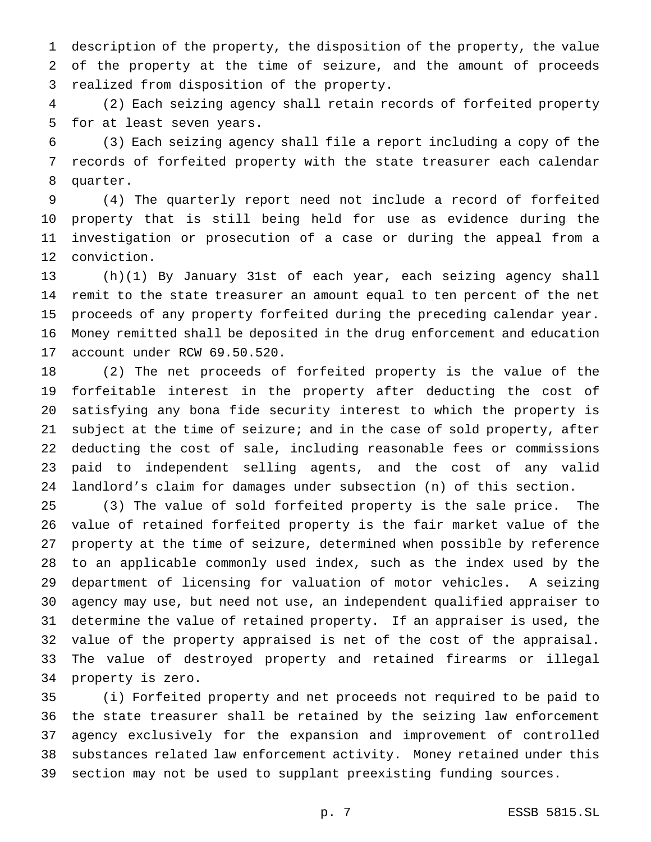description of the property, the disposition of the property, the value of the property at the time of seizure, and the amount of proceeds realized from disposition of the property.

 (2) Each seizing agency shall retain records of forfeited property for at least seven years.

 (3) Each seizing agency shall file a report including a copy of the records of forfeited property with the state treasurer each calendar quarter.

 (4) The quarterly report need not include a record of forfeited property that is still being held for use as evidence during the investigation or prosecution of a case or during the appeal from a conviction.

 (h)(1) By January 31st of each year, each seizing agency shall remit to the state treasurer an amount equal to ten percent of the net proceeds of any property forfeited during the preceding calendar year. Money remitted shall be deposited in the drug enforcement and education account under RCW 69.50.520.

 (2) The net proceeds of forfeited property is the value of the forfeitable interest in the property after deducting the cost of satisfying any bona fide security interest to which the property is subject at the time of seizure; and in the case of sold property, after deducting the cost of sale, including reasonable fees or commissions paid to independent selling agents, and the cost of any valid landlord's claim for damages under subsection (n) of this section.

 (3) The value of sold forfeited property is the sale price. The value of retained forfeited property is the fair market value of the property at the time of seizure, determined when possible by reference to an applicable commonly used index, such as the index used by the department of licensing for valuation of motor vehicles. A seizing agency may use, but need not use, an independent qualified appraiser to determine the value of retained property. If an appraiser is used, the value of the property appraised is net of the cost of the appraisal. The value of destroyed property and retained firearms or illegal property is zero.

 (i) Forfeited property and net proceeds not required to be paid to the state treasurer shall be retained by the seizing law enforcement agency exclusively for the expansion and improvement of controlled substances related law enforcement activity. Money retained under this section may not be used to supplant preexisting funding sources.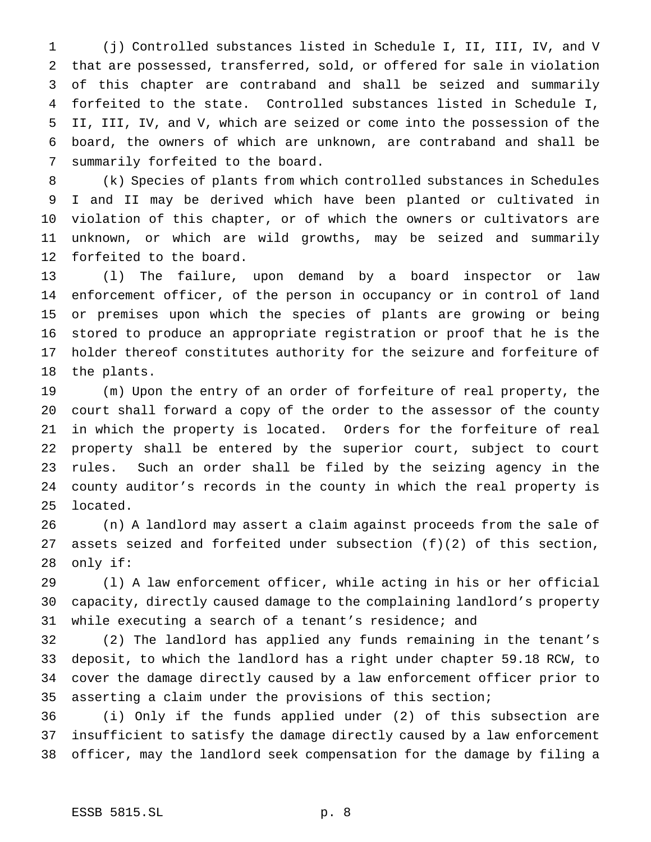(j) Controlled substances listed in Schedule I, II, III, IV, and V that are possessed, transferred, sold, or offered for sale in violation of this chapter are contraband and shall be seized and summarily forfeited to the state. Controlled substances listed in Schedule I, II, III, IV, and V, which are seized or come into the possession of the board, the owners of which are unknown, are contraband and shall be summarily forfeited to the board.

 (k) Species of plants from which controlled substances in Schedules I and II may be derived which have been planted or cultivated in violation of this chapter, or of which the owners or cultivators are unknown, or which are wild growths, may be seized and summarily forfeited to the board.

 (l) The failure, upon demand by a board inspector or law enforcement officer, of the person in occupancy or in control of land or premises upon which the species of plants are growing or being stored to produce an appropriate registration or proof that he is the holder thereof constitutes authority for the seizure and forfeiture of the plants.

 (m) Upon the entry of an order of forfeiture of real property, the court shall forward a copy of the order to the assessor of the county in which the property is located. Orders for the forfeiture of real property shall be entered by the superior court, subject to court rules. Such an order shall be filed by the seizing agency in the county auditor's records in the county in which the real property is located.

 (n) A landlord may assert a claim against proceeds from the sale of assets seized and forfeited under subsection (f)(2) of this section, only if:

 (l) A law enforcement officer, while acting in his or her official capacity, directly caused damage to the complaining landlord's property while executing a search of a tenant's residence; and

 (2) The landlord has applied any funds remaining in the tenant's deposit, to which the landlord has a right under chapter 59.18 RCW, to cover the damage directly caused by a law enforcement officer prior to asserting a claim under the provisions of this section;

 (i) Only if the funds applied under (2) of this subsection are insufficient to satisfy the damage directly caused by a law enforcement officer, may the landlord seek compensation for the damage by filing a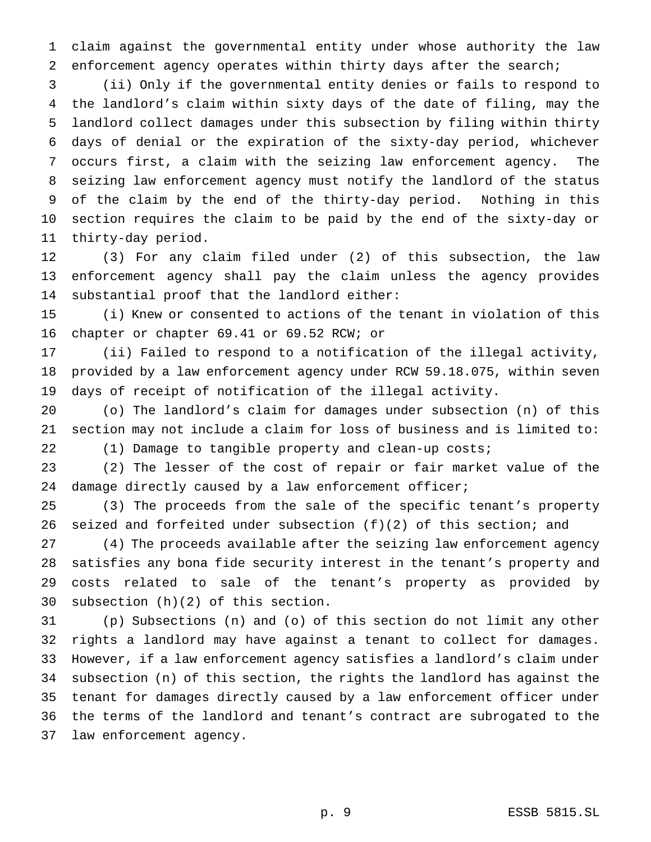claim against the governmental entity under whose authority the law enforcement agency operates within thirty days after the search;

 (ii) Only if the governmental entity denies or fails to respond to the landlord's claim within sixty days of the date of filing, may the landlord collect damages under this subsection by filing within thirty days of denial or the expiration of the sixty-day period, whichever occurs first, a claim with the seizing law enforcement agency. The seizing law enforcement agency must notify the landlord of the status of the claim by the end of the thirty-day period. Nothing in this section requires the claim to be paid by the end of the sixty-day or thirty-day period.

 (3) For any claim filed under (2) of this subsection, the law enforcement agency shall pay the claim unless the agency provides substantial proof that the landlord either:

 (i) Knew or consented to actions of the tenant in violation of this chapter or chapter 69.41 or 69.52 RCW; or

 (ii) Failed to respond to a notification of the illegal activity, provided by a law enforcement agency under RCW 59.18.075, within seven days of receipt of notification of the illegal activity.

 (o) The landlord's claim for damages under subsection (n) of this section may not include a claim for loss of business and is limited to: (1) Damage to tangible property and clean-up costs;

 (2) The lesser of the cost of repair or fair market value of the damage directly caused by a law enforcement officer;

 (3) The proceeds from the sale of the specific tenant's property seized and forfeited under subsection (f)(2) of this section; and

 (4) The proceeds available after the seizing law enforcement agency satisfies any bona fide security interest in the tenant's property and costs related to sale of the tenant's property as provided by subsection (h)(2) of this section.

 (p) Subsections (n) and (o) of this section do not limit any other rights a landlord may have against a tenant to collect for damages. However, if a law enforcement agency satisfies a landlord's claim under subsection (n) of this section, the rights the landlord has against the tenant for damages directly caused by a law enforcement officer under the terms of the landlord and tenant's contract are subrogated to the law enforcement agency.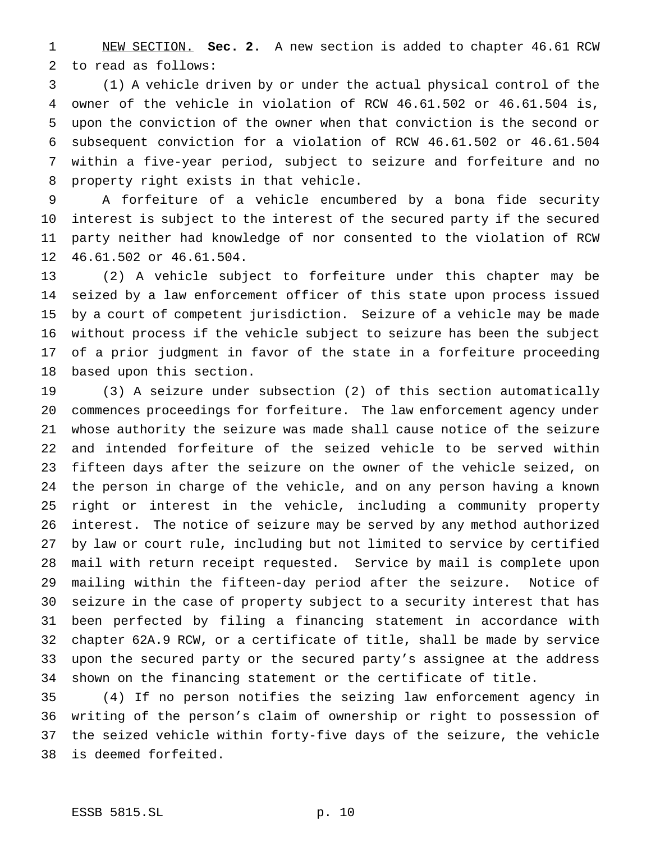NEW SECTION. **Sec. 2.** A new section is added to chapter 46.61 RCW to read as follows:

 (1) A vehicle driven by or under the actual physical control of the owner of the vehicle in violation of RCW 46.61.502 or 46.61.504 is, upon the conviction of the owner when that conviction is the second or subsequent conviction for a violation of RCW 46.61.502 or 46.61.504 within a five-year period, subject to seizure and forfeiture and no property right exists in that vehicle.

 A forfeiture of a vehicle encumbered by a bona fide security interest is subject to the interest of the secured party if the secured party neither had knowledge of nor consented to the violation of RCW 46.61.502 or 46.61.504.

 (2) A vehicle subject to forfeiture under this chapter may be seized by a law enforcement officer of this state upon process issued by a court of competent jurisdiction. Seizure of a vehicle may be made without process if the vehicle subject to seizure has been the subject of a prior judgment in favor of the state in a forfeiture proceeding based upon this section.

 (3) A seizure under subsection (2) of this section automatically commences proceedings for forfeiture. The law enforcement agency under whose authority the seizure was made shall cause notice of the seizure and intended forfeiture of the seized vehicle to be served within fifteen days after the seizure on the owner of the vehicle seized, on the person in charge of the vehicle, and on any person having a known right or interest in the vehicle, including a community property interest. The notice of seizure may be served by any method authorized by law or court rule, including but not limited to service by certified mail with return receipt requested. Service by mail is complete upon mailing within the fifteen-day period after the seizure. Notice of seizure in the case of property subject to a security interest that has been perfected by filing a financing statement in accordance with chapter 62A.9 RCW, or a certificate of title, shall be made by service upon the secured party or the secured party's assignee at the address shown on the financing statement or the certificate of title.

 (4) If no person notifies the seizing law enforcement agency in writing of the person's claim of ownership or right to possession of the seized vehicle within forty-five days of the seizure, the vehicle is deemed forfeited.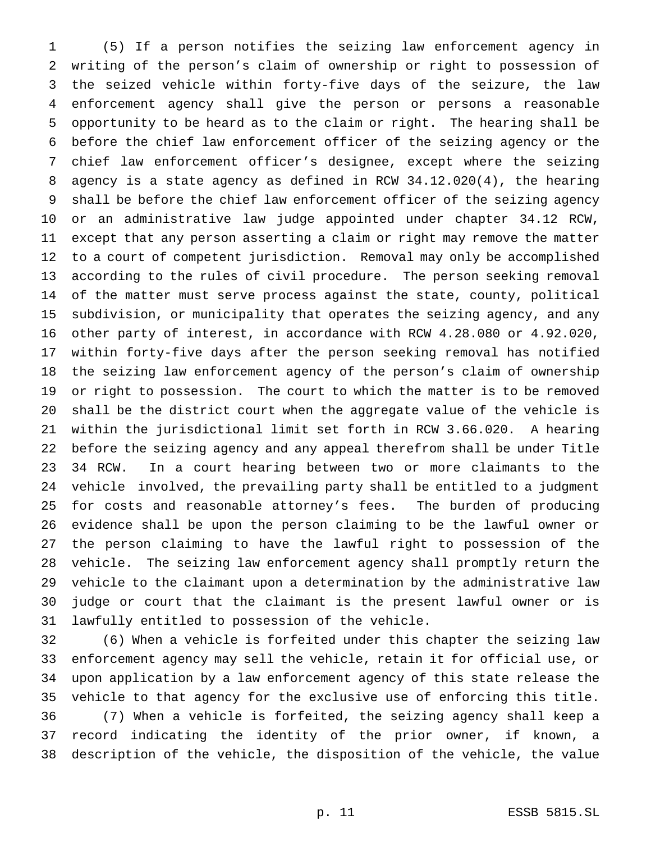(5) If a person notifies the seizing law enforcement agency in writing of the person's claim of ownership or right to possession of the seized vehicle within forty-five days of the seizure, the law enforcement agency shall give the person or persons a reasonable opportunity to be heard as to the claim or right. The hearing shall be before the chief law enforcement officer of the seizing agency or the chief law enforcement officer's designee, except where the seizing agency is a state agency as defined in RCW 34.12.020(4), the hearing shall be before the chief law enforcement officer of the seizing agency or an administrative law judge appointed under chapter 34.12 RCW, except that any person asserting a claim or right may remove the matter to a court of competent jurisdiction. Removal may only be accomplished according to the rules of civil procedure. The person seeking removal of the matter must serve process against the state, county, political subdivision, or municipality that operates the seizing agency, and any other party of interest, in accordance with RCW 4.28.080 or 4.92.020, within forty-five days after the person seeking removal has notified the seizing law enforcement agency of the person's claim of ownership or right to possession. The court to which the matter is to be removed shall be the district court when the aggregate value of the vehicle is within the jurisdictional limit set forth in RCW 3.66.020. A hearing before the seizing agency and any appeal therefrom shall be under Title 34 RCW. In a court hearing between two or more claimants to the vehicle involved, the prevailing party shall be entitled to a judgment for costs and reasonable attorney's fees. The burden of producing evidence shall be upon the person claiming to be the lawful owner or the person claiming to have the lawful right to possession of the vehicle. The seizing law enforcement agency shall promptly return the vehicle to the claimant upon a determination by the administrative law judge or court that the claimant is the present lawful owner or is lawfully entitled to possession of the vehicle.

 (6) When a vehicle is forfeited under this chapter the seizing law enforcement agency may sell the vehicle, retain it for official use, or upon application by a law enforcement agency of this state release the vehicle to that agency for the exclusive use of enforcing this title. (7) When a vehicle is forfeited, the seizing agency shall keep a record indicating the identity of the prior owner, if known, a description of the vehicle, the disposition of the vehicle, the value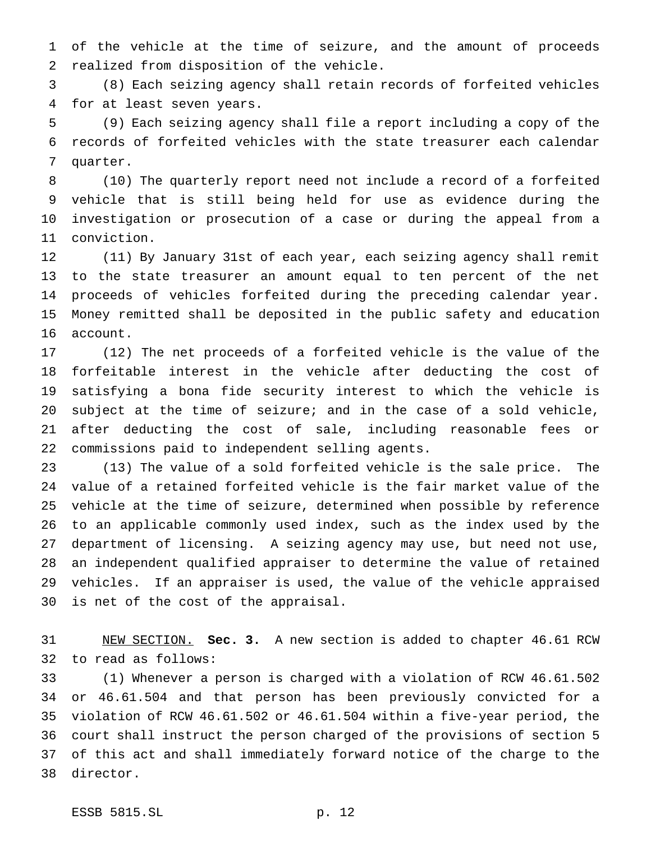of the vehicle at the time of seizure, and the amount of proceeds realized from disposition of the vehicle.

 (8) Each seizing agency shall retain records of forfeited vehicles for at least seven years.

 (9) Each seizing agency shall file a report including a copy of the records of forfeited vehicles with the state treasurer each calendar quarter.

 (10) The quarterly report need not include a record of a forfeited vehicle that is still being held for use as evidence during the investigation or prosecution of a case or during the appeal from a conviction.

 (11) By January 31st of each year, each seizing agency shall remit to the state treasurer an amount equal to ten percent of the net proceeds of vehicles forfeited during the preceding calendar year. Money remitted shall be deposited in the public safety and education account.

 (12) The net proceeds of a forfeited vehicle is the value of the forfeitable interest in the vehicle after deducting the cost of satisfying a bona fide security interest to which the vehicle is subject at the time of seizure; and in the case of a sold vehicle, after deducting the cost of sale, including reasonable fees or commissions paid to independent selling agents.

 (13) The value of a sold forfeited vehicle is the sale price. The value of a retained forfeited vehicle is the fair market value of the vehicle at the time of seizure, determined when possible by reference to an applicable commonly used index, such as the index used by the department of licensing. A seizing agency may use, but need not use, an independent qualified appraiser to determine the value of retained vehicles. If an appraiser is used, the value of the vehicle appraised is net of the cost of the appraisal.

 NEW SECTION. **Sec. 3.** A new section is added to chapter 46.61 RCW to read as follows:

 (1) Whenever a person is charged with a violation of RCW 46.61.502 or 46.61.504 and that person has been previously convicted for a violation of RCW 46.61.502 or 46.61.504 within a five-year period, the court shall instruct the person charged of the provisions of section 5 of this act and shall immediately forward notice of the charge to the director.